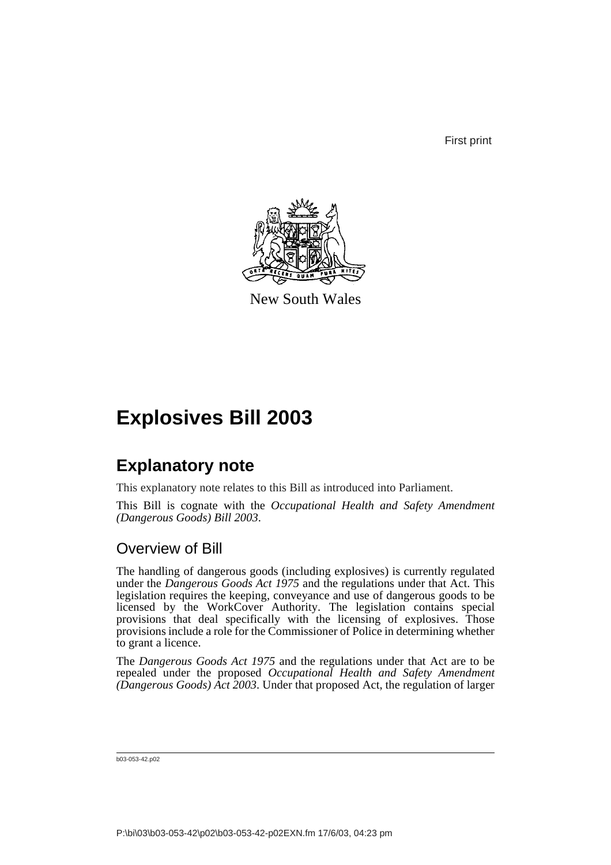First print



New South Wales

# **Explosives Bill 2003**

# **Explanatory note**

This explanatory note relates to this Bill as introduced into Parliament.

This Bill is cognate with the *Occupational Health and Safety Amendment (Dangerous Goods) Bill 2003*.

# Overview of Bill

The handling of dangerous goods (including explosives) is currently regulated under the *Dangerous Goods Act 1975* and the regulations under that Act. This legislation requires the keeping, conveyance and use of dangerous goods to be licensed by the WorkCover Authority. The legislation contains special provisions that deal specifically with the licensing of explosives. Those provisions include a role for the Commissioner of Police in determining whether to grant a licence.

The *Dangerous Goods Act 1975* and the regulations under that Act are to be repealed under the proposed *Occupational Health and Safety Amendment (Dangerous Goods) Act 2003*. Under that proposed Act, the regulation of larger

b03-053-42.p02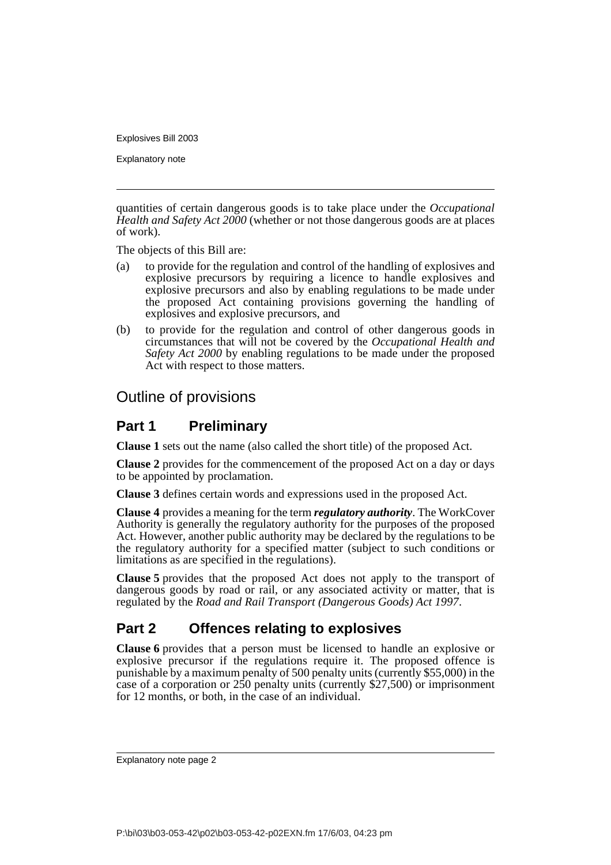Explanatory note

quantities of certain dangerous goods is to take place under the *Occupational Health and Safety Act 2000* (whether or not those dangerous goods are at places of work).

The objects of this Bill are:

- (a) to provide for the regulation and control of the handling of explosives and explosive precursors by requiring a licence to handle explosives and explosive precursors and also by enabling regulations to be made under the proposed Act containing provisions governing the handling of explosives and explosive precursors, and
- (b) to provide for the regulation and control of other dangerous goods in circumstances that will not be covered by the *Occupational Health and Safety Act 2000* by enabling regulations to be made under the proposed Act with respect to those matters.

# Outline of provisions

## **Part 1 Preliminary**

**Clause 1** sets out the name (also called the short title) of the proposed Act.

**Clause 2** provides for the commencement of the proposed Act on a day or days to be appointed by proclamation.

**Clause 3** defines certain words and expressions used in the proposed Act.

**Clause 4** provides a meaning for the term *regulatory authority*. The WorkCover Authority is generally the regulatory authority for the purposes of the proposed Act. However, another public authority may be declared by the regulations to be the regulatory authority for a specified matter (subject to such conditions or limitations as are specified in the regulations).

**Clause 5** provides that the proposed Act does not apply to the transport of dangerous goods by road or rail, or any associated activity or matter, that is regulated by the *Road and Rail Transport (Dangerous Goods) Act 1997*.

# **Part 2 Offences relating to explosives**

**Clause 6** provides that a person must be licensed to handle an explosive or explosive precursor if the regulations require it. The proposed offence is punishable by a maximum penalty of 500 penalty units (currently \$55,000) in the case of a corporation or 250 penalty units (currently \$27,500) or imprisonment for 12 months, or both, in the case of an individual.

Explanatory note page 2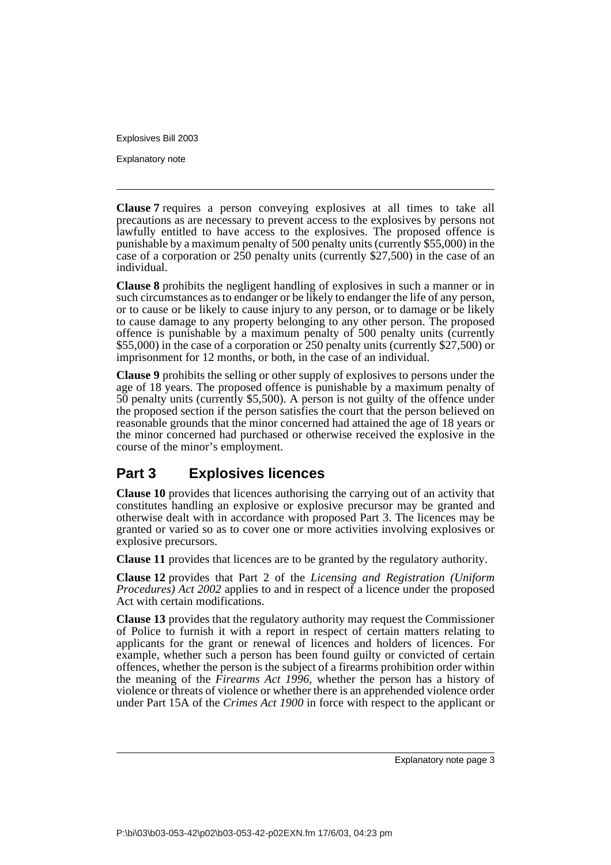Explanatory note

**Clause 7** requires a person conveying explosives at all times to take all precautions as are necessary to prevent access to the explosives by persons not lawfully entitled to have access to the explosives. The proposed offence is punishable by a maximum penalty of 500 penalty units (currently \$55,000) in the case of a corporation or 250 penalty units (currently \$27,500) in the case of an individual.

**Clause 8** prohibits the negligent handling of explosives in such a manner or in such circumstances as to endanger or be likely to endanger the life of any person, or to cause or be likely to cause injury to any person, or to damage or be likely to cause damage to any property belonging to any other person. The proposed offence is punishable by a maximum penalty of 500 penalty units (currently \$55,000) in the case of a corporation or 250 penalty units (currently \$27,500) or imprisonment for 12 months, or both, in the case of an individual.

**Clause 9** prohibits the selling or other supply of explosives to persons under the age of 18 years. The proposed offence is punishable by a maximum penalty of 50 penalty units (currently \$5,500). A person is not guilty of the offence under the proposed section if the person satisfies the court that the person believed on reasonable grounds that the minor concerned had attained the age of 18 years or the minor concerned had purchased or otherwise received the explosive in the course of the minor's employment.

# **Part 3 Explosives licences**

**Clause 10** provides that licences authorising the carrying out of an activity that constitutes handling an explosive or explosive precursor may be granted and otherwise dealt with in accordance with proposed Part 3. The licences may be granted or varied so as to cover one or more activities involving explosives or explosive precursors.

**Clause 11** provides that licences are to be granted by the regulatory authority.

**Clause 12** provides that Part 2 of the *Licensing and Registration (Uniform Procedures) Act 2002* applies to and in respect of a licence under the proposed Act with certain modifications.

**Clause 13** provides that the regulatory authority may request the Commissioner of Police to furnish it with a report in respect of certain matters relating to applicants for the grant or renewal of licences and holders of licences. For example, whether such a person has been found guilty or convicted of certain offences, whether the person is the subject of a firearms prohibition order within the meaning of the *Firearms Act 1996*, whether the person has a history of violence or threats of violence or whether there is an apprehended violence order under Part 15A of the *Crimes Act 1900* in force with respect to the applicant or

Explanatory note page 3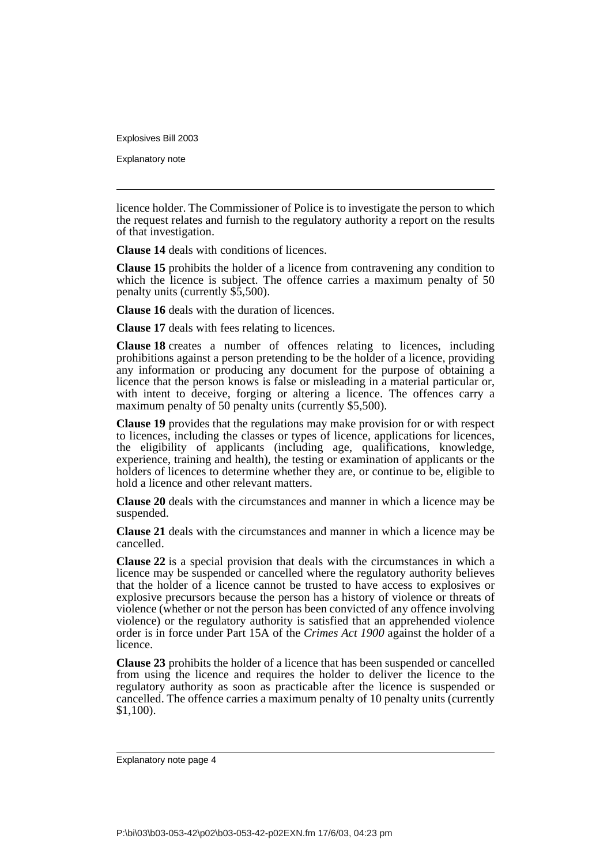Explanatory note

licence holder. The Commissioner of Police is to investigate the person to which the request relates and furnish to the regulatory authority a report on the results of that investigation.

**Clause 14** deals with conditions of licences.

**Clause 15** prohibits the holder of a licence from contravening any condition to which the licence is subject. The offence carries a maximum penalty of 50 penalty units (currently \$5,500).

**Clause 16** deals with the duration of licences.

**Clause 17** deals with fees relating to licences.

**Clause 18** creates a number of offences relating to licences, including prohibitions against a person pretending to be the holder of a licence, providing any information or producing any document for the purpose of obtaining a licence that the person knows is false or misleading in a material particular or, with intent to deceive, forging or altering a licence. The offences carry a maximum penalty of 50 penalty units (currently \$5,500).

**Clause 19** provides that the regulations may make provision for or with respect to licences, including the classes or types of licence, applications for licences, the eligibility of applicants (including age, qualifications, knowledge, experience, training and health), the testing or examination of applicants or the holders of licences to determine whether they are, or continue to be, eligible to hold a licence and other relevant matters.

**Clause 20** deals with the circumstances and manner in which a licence may be suspended.

**Clause 21** deals with the circumstances and manner in which a licence may be cancelled.

**Clause 22** is a special provision that deals with the circumstances in which a licence may be suspended or cancelled where the regulatory authority believes that the holder of a licence cannot be trusted to have access to explosives or explosive precursors because the person has a history of violence or threats of violence (whether or not the person has been convicted of any offence involving violence) or the regulatory authority is satisfied that an apprehended violence order is in force under Part 15A of the *Crimes Act 1900* against the holder of a licence.

**Clause 23** prohibits the holder of a licence that has been suspended or cancelled from using the licence and requires the holder to deliver the licence to the regulatory authority as soon as practicable after the licence is suspended or cancelled. The offence carries a maximum penalty of 10 penalty units (currently \$1,100).

Explanatory note page 4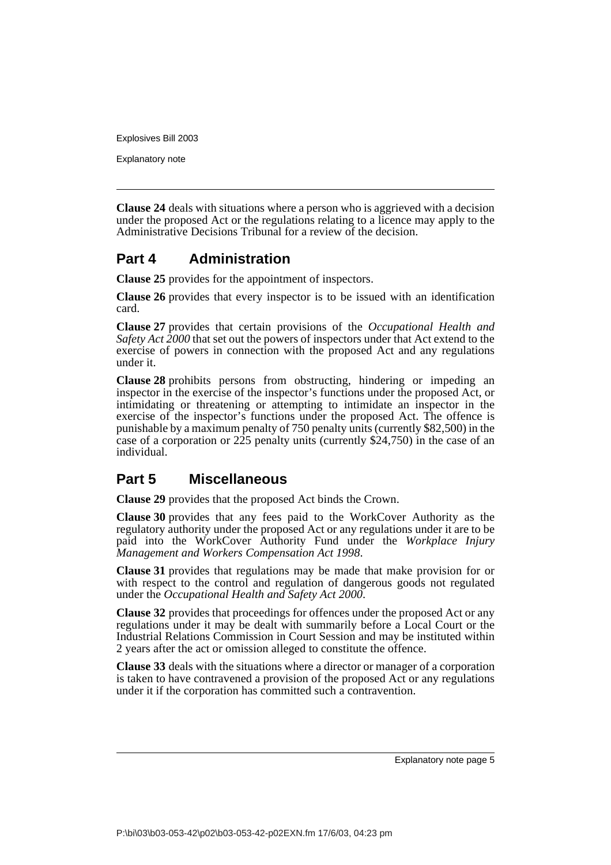Explanatory note

**Clause 24** deals with situations where a person who is aggrieved with a decision under the proposed Act or the regulations relating to a licence may apply to the Administrative Decisions Tribunal for a review of the decision.

## **Part 4 Administration**

**Clause 25** provides for the appointment of inspectors.

**Clause 26** provides that every inspector is to be issued with an identification card.

**Clause 27** provides that certain provisions of the *Occupational Health and Safety Act 2000* that set out the powers of inspectors under that Act extend to the exercise of powers in connection with the proposed Act and any regulations under it.

**Clause 28** prohibits persons from obstructing, hindering or impeding an inspector in the exercise of the inspector's functions under the proposed Act, or intimidating or threatening or attempting to intimidate an inspector in the exercise of the inspector's functions under the proposed Act. The offence is punishable by a maximum penalty of 750 penalty units (currently \$82,500) in the case of a corporation or  $225$  penalty units (currently \$24,750) in the case of an individual.

## **Part 5 Miscellaneous**

**Clause 29** provides that the proposed Act binds the Crown.

**Clause 30** provides that any fees paid to the WorkCover Authority as the regulatory authority under the proposed Act or any regulations under it are to be paid into the WorkCover Authority Fund under the *Workplace Injury Management and Workers Compensation Act 1998*.

**Clause 31** provides that regulations may be made that make provision for or with respect to the control and regulation of dangerous goods not regulated under the *Occupational Health and Safety Act 2000*.

**Clause 32** provides that proceedings for offences under the proposed Act or any regulations under it may be dealt with summarily before a Local Court or the Industrial Relations Commission in Court Session and may be instituted within 2 years after the act or omission alleged to constitute the offence.

**Clause 33** deals with the situations where a director or manager of a corporation is taken to have contravened a provision of the proposed Act or any regulations under it if the corporation has committed such a contravention.

Explanatory note page 5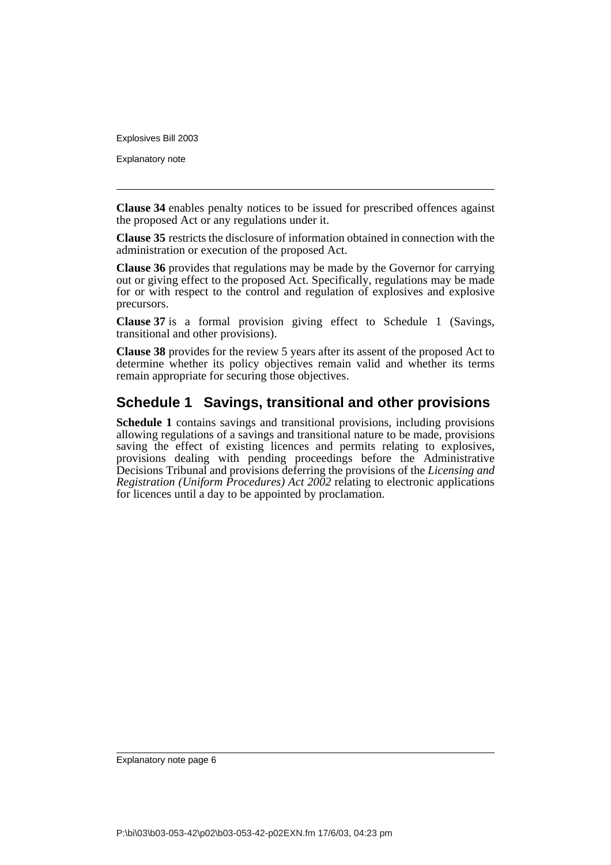Explanatory note

**Clause 34** enables penalty notices to be issued for prescribed offences against the proposed Act or any regulations under it.

**Clause 35** restricts the disclosure of information obtained in connection with the administration or execution of the proposed Act.

**Clause 36** provides that regulations may be made by the Governor for carrying out or giving effect to the proposed Act. Specifically, regulations may be made for or with respect to the control and regulation of explosives and explosive precursors.

**Clause 37** is a formal provision giving effect to Schedule 1 (Savings, transitional and other provisions).

**Clause 38** provides for the review 5 years after its assent of the proposed Act to determine whether its policy objectives remain valid and whether its terms remain appropriate for securing those objectives.

## **Schedule 1 Savings, transitional and other provisions**

**Schedule 1** contains savings and transitional provisions, including provisions allowing regulations of a savings and transitional nature to be made, provisions saving the effect of existing licences and permits relating to explosives, provisions dealing with pending proceedings before the Administrative Decisions Tribunal and provisions deferring the provisions of the *Licensing and Registration (Uniform Procedures) Act 2002* relating to electronic applications for licences until a day to be appointed by proclamation.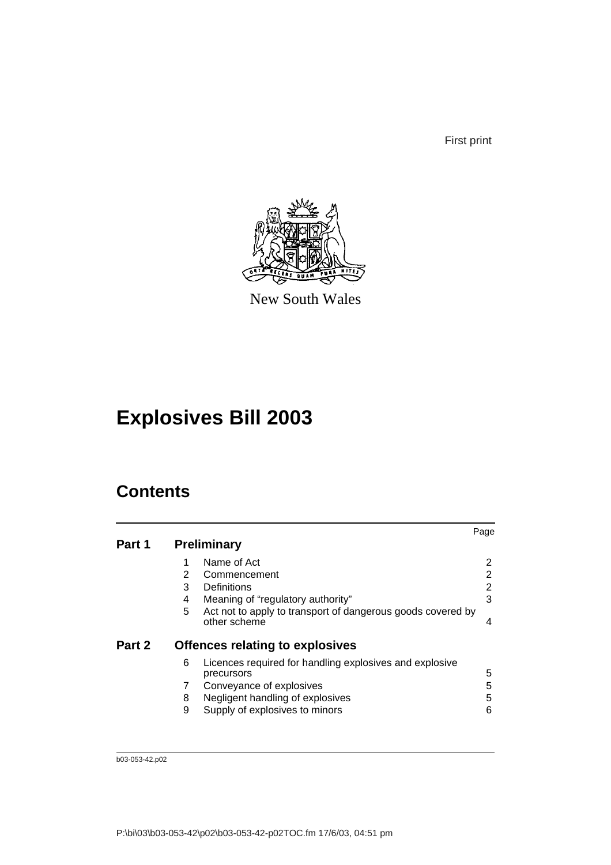First print



New South Wales

# **Explosives Bill 2003**

# **Contents**

|        |   |                                                                             | Page |
|--------|---|-----------------------------------------------------------------------------|------|
| Part 1 |   | <b>Preliminary</b>                                                          |      |
|        |   | Name of Act                                                                 | 2    |
|        | 2 | Commencement                                                                | 2    |
|        | 3 | Definitions                                                                 | 2    |
|        | 4 | Meaning of "regulatory authority"                                           | 3    |
|        | 5 | Act not to apply to transport of dangerous goods covered by<br>other scheme | 4    |
| Part 2 |   | <b>Offences relating to explosives</b>                                      |      |
|        | 6 | Licences required for handling explosives and explosive<br>precursors       | 5    |
|        |   | Conveyance of explosives                                                    | 5    |
|        | 8 | Negligent handling of explosives                                            | 5    |
|        | 9 | Supply of explosives to minors                                              | 6    |

b03-053-42.p02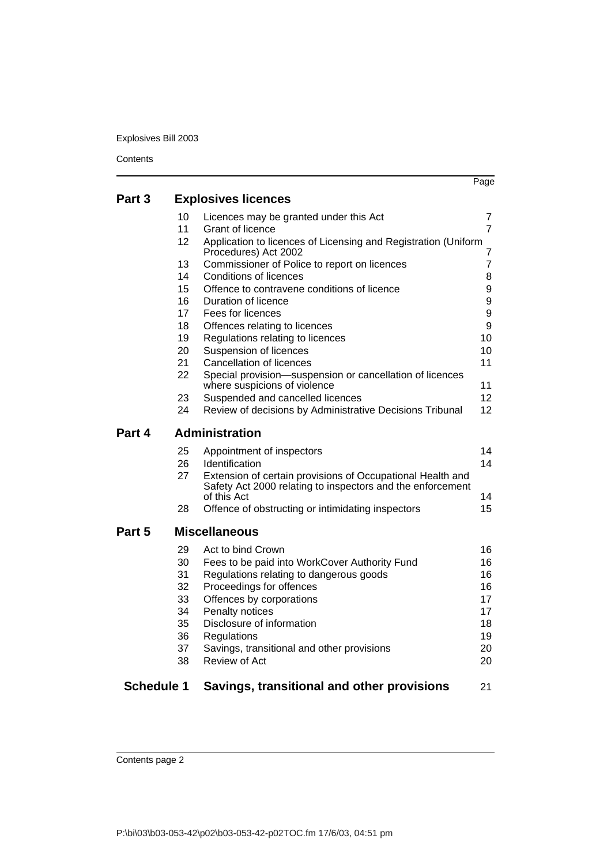|                   |    |                                                                                                                          | Page            |
|-------------------|----|--------------------------------------------------------------------------------------------------------------------------|-----------------|
| Part 3            |    | <b>Explosives licences</b>                                                                                               |                 |
|                   | 10 | Licences may be granted under this Act                                                                                   | 7               |
|                   | 11 | Grant of licence                                                                                                         | 7               |
|                   | 12 | Application to licences of Licensing and Registration (Uniform<br>Procedures) Act 2002                                   | 7               |
|                   | 13 | Commissioner of Police to report on licences                                                                             | $\overline{7}$  |
|                   | 14 | Conditions of licences                                                                                                   | 8               |
|                   | 15 | Offence to contravene conditions of licence                                                                              | 9               |
|                   | 16 | Duration of licence                                                                                                      | 9               |
|                   | 17 | Fees for licences                                                                                                        | 9               |
|                   | 18 | Offences relating to licences                                                                                            | 9               |
|                   | 19 | Regulations relating to licences                                                                                         | 10              |
|                   | 20 | Suspension of licences                                                                                                   | 10              |
|                   | 21 | <b>Cancellation of licences</b>                                                                                          | 11              |
|                   | 22 | Special provision-suspension or cancellation of licences<br>where suspicions of violence                                 | 11              |
|                   | 23 | Suspended and cancelled licences                                                                                         | 12 <sup>2</sup> |
|                   | 24 | Review of decisions by Administrative Decisions Tribunal                                                                 | 12              |
| Part 4            |    | <b>Administration</b>                                                                                                    |                 |
|                   | 25 | Appointment of inspectors                                                                                                | 14              |
|                   | 26 | <b>Identification</b>                                                                                                    | 14              |
|                   | 27 | Extension of certain provisions of Occupational Health and<br>Safety Act 2000 relating to inspectors and the enforcement |                 |
|                   |    | of this Act                                                                                                              | 14              |
|                   | 28 | Offence of obstructing or intimidating inspectors                                                                        | 15              |
| Part 5            |    | <b>Miscellaneous</b>                                                                                                     |                 |
|                   | 29 | Act to bind Crown                                                                                                        | 16              |
|                   | 30 | Fees to be paid into WorkCover Authority Fund                                                                            | 16              |
|                   | 31 | Regulations relating to dangerous goods                                                                                  | 16              |
|                   | 32 | Proceedings for offences                                                                                                 | 16              |
|                   | 33 | Offences by corporations                                                                                                 | 17              |
|                   | 34 | Penalty notices                                                                                                          | 17              |
|                   | 35 | Disclosure of information                                                                                                | 18              |
|                   | 36 | Regulations                                                                                                              | 19              |
|                   | 37 | Savings, transitional and other provisions                                                                               | 20              |
|                   | 38 | Review of Act                                                                                                            | 20              |
| <b>Schedule 1</b> |    | Savings, transitional and other provisions                                                                               | 21              |

Contents page 2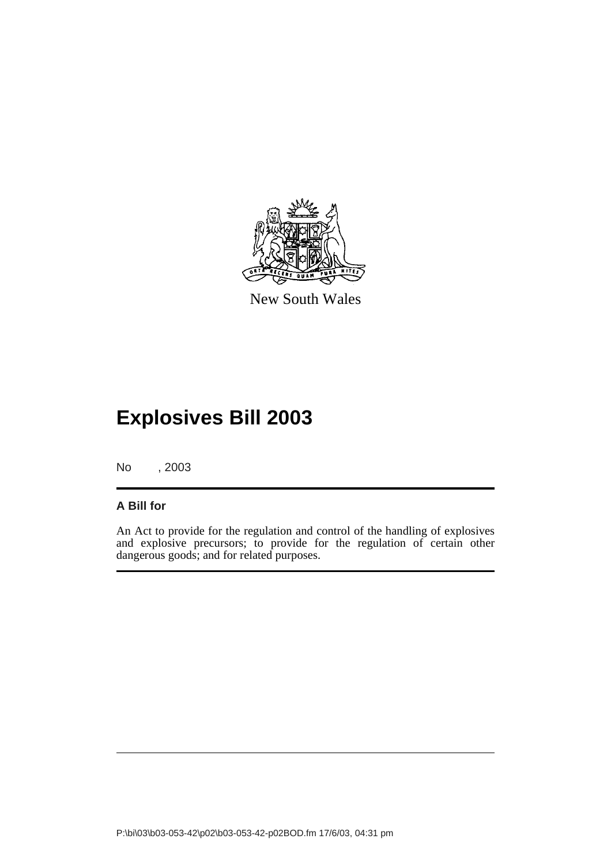

New South Wales

# **Explosives Bill 2003**

No , 2003

## **A Bill for**

An Act to provide for the regulation and control of the handling of explosives and explosive precursors; to provide for the regulation of certain other dangerous goods; and for related purposes.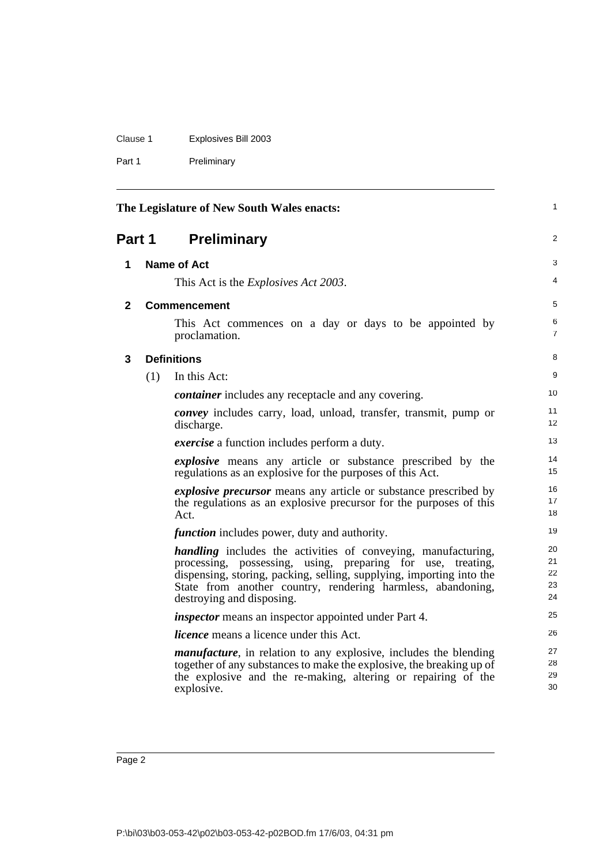| Clause 1 | Explosives Bill 2003 |
|----------|----------------------|
|          |                      |

Part 1 Preliminary

<span id="page-9-3"></span><span id="page-9-2"></span><span id="page-9-1"></span><span id="page-9-0"></span>

| The Legislature of New South Wales enacts: |     |                                                                                                                                                                                                                                                                                                            | 1                          |
|--------------------------------------------|-----|------------------------------------------------------------------------------------------------------------------------------------------------------------------------------------------------------------------------------------------------------------------------------------------------------------|----------------------------|
| <b>Preliminary</b><br><b>Part 1</b>        |     | 2                                                                                                                                                                                                                                                                                                          |                            |
| 1                                          |     | <b>Name of Act</b>                                                                                                                                                                                                                                                                                         | 3                          |
|                                            |     | This Act is the <i>Explosives Act 2003</i> .                                                                                                                                                                                                                                                               | 4                          |
| $\mathbf{2}$                               |     | <b>Commencement</b>                                                                                                                                                                                                                                                                                        | 5                          |
|                                            |     | This Act commences on a day or days to be appointed by<br>proclamation.                                                                                                                                                                                                                                    | 6<br>$\overline{7}$        |
| 3                                          |     | <b>Definitions</b>                                                                                                                                                                                                                                                                                         | 8                          |
|                                            | (1) | In this Act:                                                                                                                                                                                                                                                                                               | 9                          |
|                                            |     | <i>container</i> includes any receptacle and any covering.                                                                                                                                                                                                                                                 | 10                         |
|                                            |     | <i>convey</i> includes carry, load, unload, transfer, transmit, pump or<br>discharge.                                                                                                                                                                                                                      | 11<br>12                   |
|                                            |     | <i>exercise</i> a function includes perform a duty.                                                                                                                                                                                                                                                        | 13                         |
|                                            |     | <i>explosive</i> means any article or substance prescribed by the<br>regulations as an explosive for the purposes of this Act.                                                                                                                                                                             | 14<br>15                   |
|                                            |     | <i>explosive precursor</i> means any article or substance prescribed by<br>the regulations as an explosive precursor for the purposes of this<br>Act.                                                                                                                                                      | 16<br>17<br>18             |
|                                            |     | <i>function</i> includes power, duty and authority.                                                                                                                                                                                                                                                        | 19                         |
|                                            |     | <i>handling</i> includes the activities of conveying, manufacturing,<br>processing, possessing, using, preparing for use,<br>treating.<br>dispensing, storing, packing, selling, supplying, importing into the<br>State from another country, rendering harmless, abandoning,<br>destroying and disposing. | 20<br>21<br>22<br>23<br>24 |
|                                            |     | <i>inspector</i> means an inspector appointed under Part 4.                                                                                                                                                                                                                                                | 25                         |
|                                            |     | <i>licence</i> means a licence under this Act.                                                                                                                                                                                                                                                             | 26                         |
|                                            |     | <i>manufacture</i> , in relation to any explosive, includes the blending<br>together of any substances to make the explosive, the breaking up of<br>the explosive and the re-making, altering or repairing of the<br>explosive.                                                                            | 27<br>28<br>29<br>30       |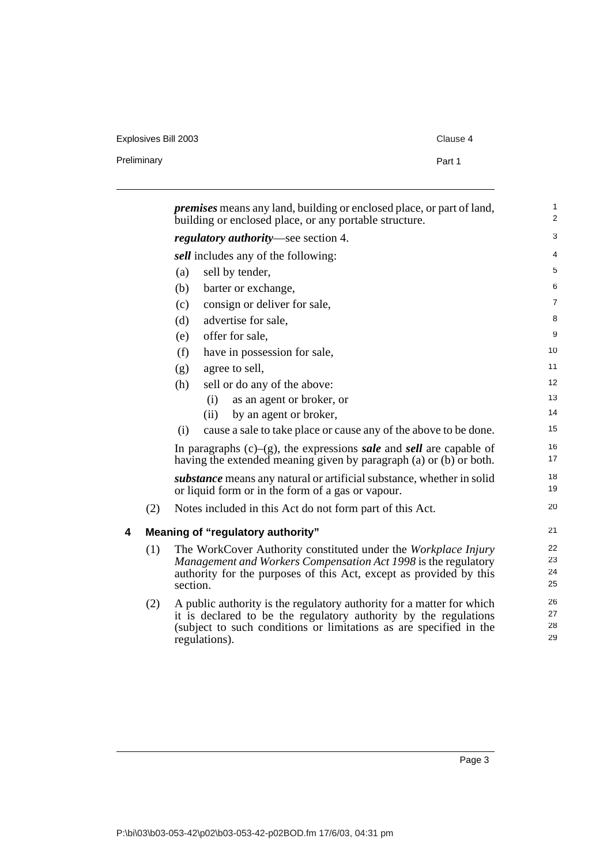Explosives Bill 2003 Clause 4

<span id="page-10-0"></span>

|   |     | <i>premises</i> means any land, building or enclosed place, or part of land,<br>building or enclosed place, or any portable structure.                                                                                           | $\mathbf{1}$<br>$\overline{2}$ |
|---|-----|----------------------------------------------------------------------------------------------------------------------------------------------------------------------------------------------------------------------------------|--------------------------------|
|   |     | <i>regulatory authority</i> —see section 4.                                                                                                                                                                                      | 3                              |
|   |     | sell includes any of the following:                                                                                                                                                                                              | 4                              |
|   |     | sell by tender,<br>(a)                                                                                                                                                                                                           | 5                              |
|   |     | (b)<br>barter or exchange,                                                                                                                                                                                                       | 6                              |
|   |     | consign or deliver for sale,<br>(c)                                                                                                                                                                                              | $\overline{7}$                 |
|   |     | advertise for sale,<br>(d)                                                                                                                                                                                                       | 8                              |
|   |     | offer for sale,<br>(e)                                                                                                                                                                                                           | 9                              |
|   |     | (f)<br>have in possession for sale,                                                                                                                                                                                              | 10                             |
|   |     | agree to sell,<br>(g)                                                                                                                                                                                                            | 11                             |
|   |     | (h)<br>sell or do any of the above:                                                                                                                                                                                              | 12                             |
|   |     | as an agent or broker, or<br>(i)                                                                                                                                                                                                 | 13                             |
|   |     | by an agent or broker,<br>(ii)                                                                                                                                                                                                   | 14                             |
|   |     | cause a sale to take place or cause any of the above to be done.<br>(i)                                                                                                                                                          | 15                             |
|   |     | In paragraphs $(c)$ – $(g)$ , the expressions <i>sale</i> and <i>sell</i> are capable of<br>having the extended meaning given by paragraph (a) or (b) or both.                                                                   | 16<br>17                       |
|   |     | <i>substance</i> means any natural or artificial substance, whether in solid<br>or liquid form or in the form of a gas or vapour.                                                                                                | 18<br>19                       |
|   | (2) | Notes included in this Act do not form part of this Act.                                                                                                                                                                         | 20                             |
| 4 |     | Meaning of "regulatory authority"                                                                                                                                                                                                | 21                             |
|   | (1) | The WorkCover Authority constituted under the Workplace Injury<br>Management and Workers Compensation Act 1998 is the regulatory<br>authority for the purposes of this Act, except as provided by this<br>section.               | 22<br>23<br>24<br>25           |
|   | (2) | A public authority is the regulatory authority for a matter for which<br>it is declared to be the regulatory authority by the regulations<br>(subject to such conditions or limitations as are specified in the<br>regulations). | 26<br>27<br>28<br>29           |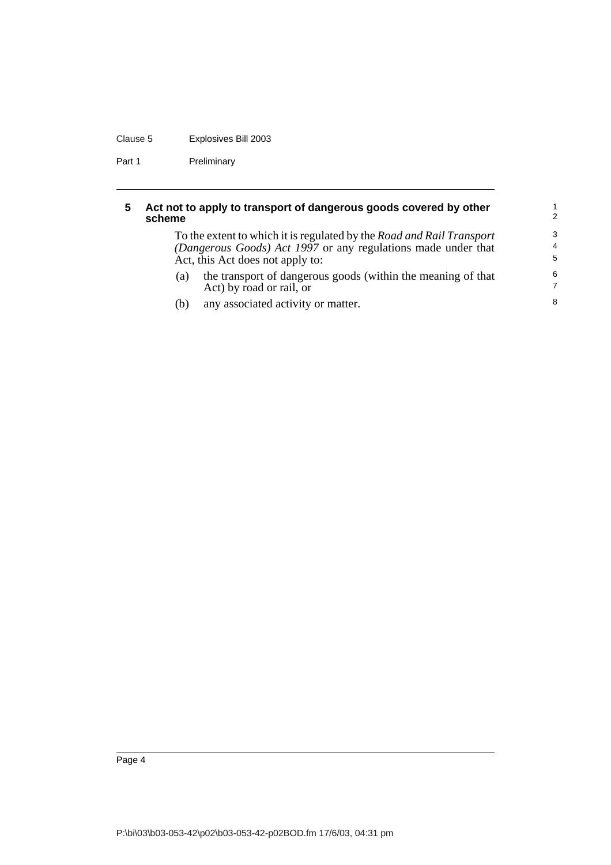### Clause 5 Explosives Bill 2003

Part 1 Preliminary

### <span id="page-11-0"></span>**5 Act not to apply to transport of dangerous goods covered by other scheme**

To the extent to which it is regulated by the *Road and Rail Transport (Dangerous Goods) Act 1997* or any regulations made under that Act, this Act does not apply to:

- (a) the transport of dangerous goods (within the meaning of that Act) by road or rail, or
- (b) any associated activity or matter.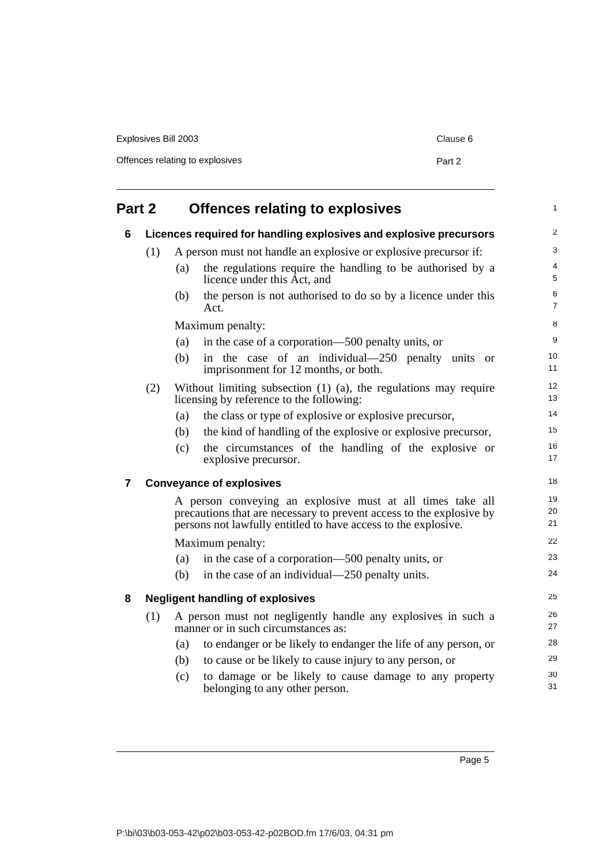| Explosives Bill 2003            | Clause 6 |
|---------------------------------|----------|
| Offences relating to explosives | Part 2   |

<span id="page-12-2"></span><span id="page-12-1"></span><span id="page-12-0"></span>

| Part 2         |     |     | <b>Offences relating to explosives</b>                                                                                                                                                               |                     |
|----------------|-----|-----|------------------------------------------------------------------------------------------------------------------------------------------------------------------------------------------------------|---------------------|
| 6              |     |     | Licences required for handling explosives and explosive precursors                                                                                                                                   | $\overline{c}$      |
|                | (1) |     | A person must not handle an explosive or explosive precursor if:                                                                                                                                     | 3                   |
|                |     | (a) | the regulations require the handling to be authorised by a<br>licence under this Act, and                                                                                                            | 4<br>5              |
|                |     | (b) | the person is not authorised to do so by a licence under this<br>Act.                                                                                                                                | 6<br>$\overline{7}$ |
|                |     |     | Maximum penalty:                                                                                                                                                                                     | 8                   |
|                |     | (a) | in the case of a corporation—500 penalty units, or                                                                                                                                                   | 9                   |
|                |     | (b) | in the case of an individual—250 penalty units or<br>imprisonment for 12 months, or both.                                                                                                            | 10<br>11            |
|                | (2) |     | Without limiting subsection $(1)$ $(a)$ , the regulations may require<br>licensing by reference to the following:                                                                                    | 12<br>13            |
|                |     | (a) | the class or type of explosive or explosive precursor,                                                                                                                                               | 14                  |
|                |     | (b) | the kind of handling of the explosive or explosive precursor,                                                                                                                                        | 15                  |
|                |     | (c) | the circumstances of the handling of the explosive or<br>explosive precursor.                                                                                                                        | 16<br>17            |
| $\overline{7}$ |     |     | <b>Conveyance of explosives</b>                                                                                                                                                                      | 18                  |
|                |     |     | A person conveying an explosive must at all times take all<br>precautions that are necessary to prevent access to the explosive by<br>persons not lawfully entitled to have access to the explosive. | 19<br>20<br>21      |
|                |     |     | Maximum penalty:                                                                                                                                                                                     | 22                  |
|                |     | (a) | in the case of a corporation—500 penalty units, or                                                                                                                                                   | 23                  |
|                |     | (b) | in the case of an individual—250 penalty units.                                                                                                                                                      | 24                  |
| 8              |     |     | <b>Negligent handling of explosives</b>                                                                                                                                                              | 25                  |
|                | (1) |     | A person must not negligently handle any explosives in such a<br>manner or in such circumstances as:                                                                                                 | 26<br>27            |
|                |     | (a) | to endanger or be likely to endanger the life of any person, or                                                                                                                                      | 28                  |
|                |     | (b) | to cause or be likely to cause injury to any person, or                                                                                                                                              | 29                  |
|                |     | (c) | to damage or be likely to cause damage to any property<br>belonging to any other person.                                                                                                             | 30<br>31            |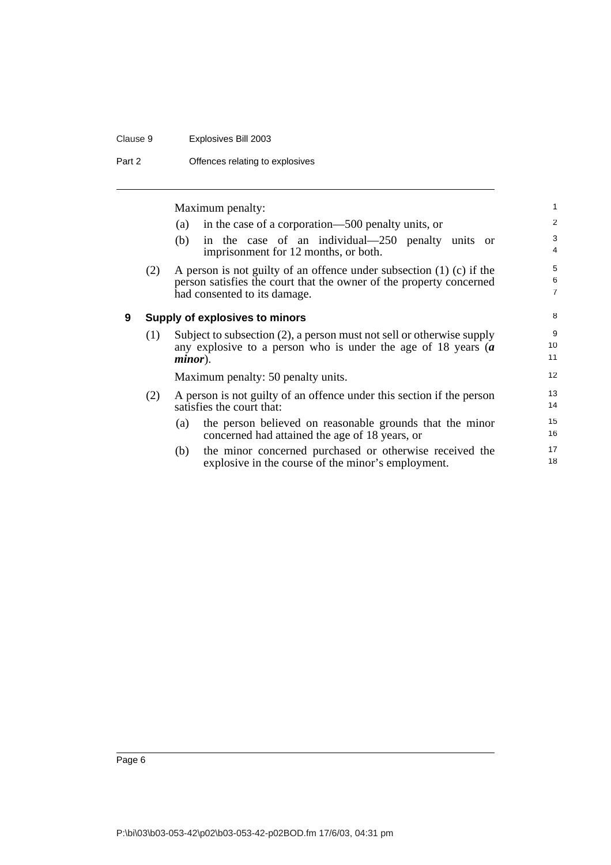#### Clause 9 Explosives Bill 2003

Part 2 **Offences relating to explosives** 

<span id="page-13-0"></span>Maximum penalty: (a) in the case of a corporation—500 penalty units, or (b) in the case of an individual—250 penalty units or imprisonment for 12 months, or both. (2) A person is not guilty of an offence under subsection (1) (c) if the person satisfies the court that the owner of the property concerned had consented to its damage. **9 Supply of explosives to minors** (1) Subject to subsection (2), a person must not sell or otherwise supply any explosive to a person who is under the age of 18 years (*a minor*). Maximum penalty: 50 penalty units. (2) A person is not guilty of an offence under this section if the person satisfies the court that: (a) the person believed on reasonable grounds that the minor concerned had attained the age of 18 years, or (b) the minor concerned purchased or otherwise received the explosive in the course of the minor's employment. 1 2 3 4 5 6 7 8 9 10 11 12 13 14 15 16 17 18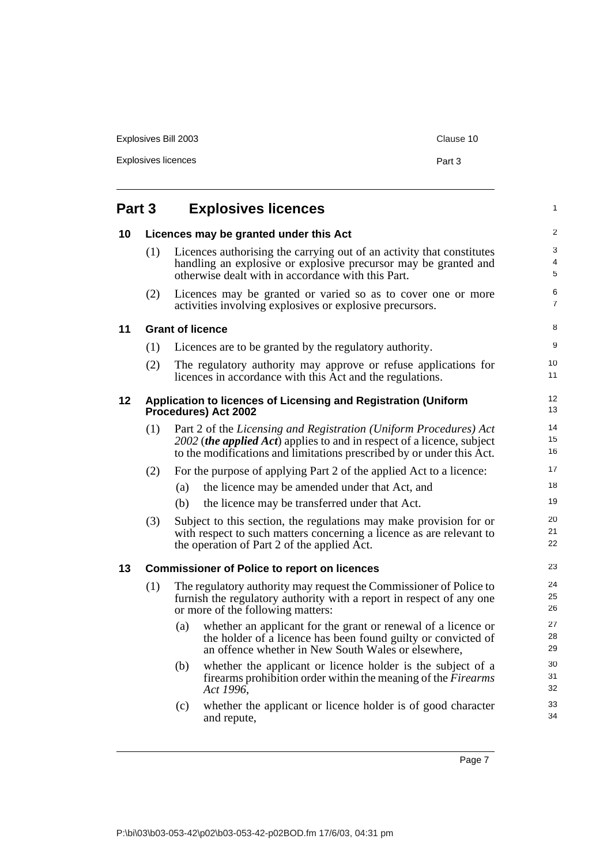<span id="page-14-0"></span>

| Explosives licences |                                        |  |
|---------------------|----------------------------------------|--|
| Part 3              | <b>Explosives licences</b>             |  |
| 10                  | Licences may be granted under this Act |  |

activities involving explosives or explosive precursors.

Explosives Bill 2003 Clause 10

<span id="page-14-1"></span>

| (1) | Licences authorising the carrying out of an activity that constitutes<br>handling an explosive or explosive precursor may be granted and<br>otherwise dealt with in accordance with this Part. |
|-----|------------------------------------------------------------------------------------------------------------------------------------------------------------------------------------------------|
| (2) | Licences may be granted or varied so as to cover one or more                                                                                                                                   |

#### <span id="page-14-4"></span><span id="page-14-3"></span><span id="page-14-2"></span>**11 Grant of licence**

| 11 |     | <b>Grant of licence</b>                                                                                                                                                                                                       | 8              |
|----|-----|-------------------------------------------------------------------------------------------------------------------------------------------------------------------------------------------------------------------------------|----------------|
|    | (1) | Licences are to be granted by the regulatory authority.                                                                                                                                                                       | 9              |
|    | (2) | The regulatory authority may approve or refuse applications for<br>licences in accordance with this Act and the regulations.                                                                                                  | 10<br>11       |
| 12 |     | Application to licences of Licensing and Registration (Uniform<br>Procedures) Act 2002                                                                                                                                        | 12<br>13       |
|    | (1) | Part 2 of the Licensing and Registration (Uniform Procedures) Act<br>2002 ( <i>the applied Act</i> ) applies to and in respect of a licence, subject<br>to the modifications and limitations prescribed by or under this Act. | 14<br>15<br>16 |
|    | (2) | For the purpose of applying Part 2 of the applied Act to a licence:                                                                                                                                                           | 17             |
|    |     | the licence may be amended under that Act, and<br>(a)                                                                                                                                                                         | 18             |
|    |     | the licence may be transferred under that Act.<br>(b)                                                                                                                                                                         | 19             |
|    | (3) | Subject to this section, the regulations may make provision for or<br>with respect to such matters concerning a licence as are relevant to<br>the operation of Part 2 of the applied Act.                                     | 20<br>21<br>22 |
| 13 |     | <b>Commissioner of Police to report on licences</b>                                                                                                                                                                           | 23             |
|    | (1) | The regulatory authority may request the Commissioner of Police to<br>furnish the regulatory authority with a report in respect of any one<br>or more of the following matters:                                               | 24<br>25<br>26 |
|    |     | whether an applicant for the grant or renewal of a licence or<br>(a)<br>the holder of a licence has been found guilty or convicted of<br>an offence whether in New South Wales or elsewhere.                                  | 27<br>28<br>29 |
|    |     | whether the applicant or licence holder is the subject of a<br>(b)<br>firearms prohibition order within the meaning of the <i>Firearms</i><br>Act 1996,                                                                       | 30<br>31<br>32 |
|    |     | whether the applicant or licence holder is of good character<br>(c)<br>and repute,                                                                                                                                            | 33<br>34       |

Page 7

1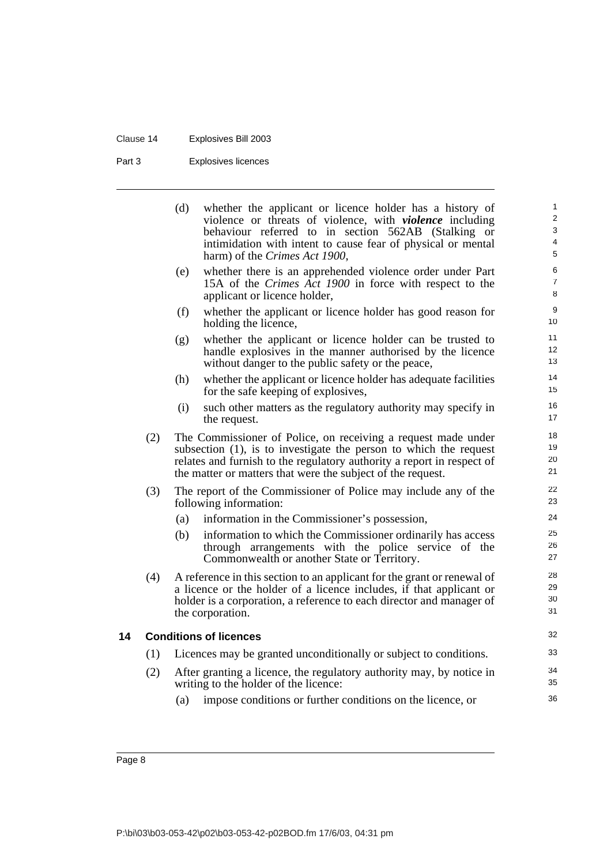## Clause 14 Explosives Bill 2003

Part 3 Explosives licences

|     | (d) | whether the applicant or licence holder has a history of<br>violence or threats of violence, with <i>violence</i> including<br>behaviour referred to in section 562AB (Stalking or<br>intimidation with intent to cause fear of physical or mental<br>harm) of the Crimes Act 1900, | 1<br>2<br>3<br>4<br>5 |
|-----|-----|-------------------------------------------------------------------------------------------------------------------------------------------------------------------------------------------------------------------------------------------------------------------------------------|-----------------------|
|     | (e) | whether there is an apprehended violence order under Part<br>15A of the Crimes Act 1900 in force with respect to the<br>applicant or licence holder,                                                                                                                                | 6<br>7<br>8           |
|     | (f) | whether the applicant or licence holder has good reason for<br>holding the licence,                                                                                                                                                                                                 | 9<br>10               |
|     | (g) | whether the applicant or licence holder can be trusted to<br>handle explosives in the manner authorised by the licence<br>without danger to the public safety or the peace,                                                                                                         | 11<br>12<br>13        |
|     | (h) | whether the applicant or licence holder has adequate facilities<br>for the safe keeping of explosives,                                                                                                                                                                              | 14<br>15              |
|     | (i) | such other matters as the regulatory authority may specify in<br>the request.                                                                                                                                                                                                       | 16<br>17              |
| (2) |     | The Commissioner of Police, on receiving a request made under<br>subsection $(1)$ , is to investigate the person to which the request<br>relates and furnish to the regulatory authority a report in respect of<br>the matter or matters that were the subject of the request.      | 18<br>19<br>20<br>21  |
| (3) |     | The report of the Commissioner of Police may include any of the<br>following information:                                                                                                                                                                                           | 22<br>23              |
|     | (a) | information in the Commissioner's possession,                                                                                                                                                                                                                                       | 24                    |
|     | (b) | information to which the Commissioner ordinarily has access<br>through arrangements with the police service of the<br>Commonwealth or another State or Territory.                                                                                                                   | 25<br>26<br>27        |
| (4) |     | A reference in this section to an applicant for the grant or renewal of<br>a licence or the holder of a licence includes, if that applicant or<br>holder is a corporation, a reference to each director and manager of<br>the corporation.                                          | 28<br>29<br>30<br>31  |
|     |     | <b>Conditions of licences</b>                                                                                                                                                                                                                                                       | 32                    |
| (1) |     | Licences may be granted unconditionally or subject to conditions.                                                                                                                                                                                                                   | 33                    |
| (2) |     | After granting a licence, the regulatory authority may, by notice in<br>writing to the holder of the licence:                                                                                                                                                                       | 34<br>35              |
|     | (a) | impose conditions or further conditions on the licence, or                                                                                                                                                                                                                          | 36                    |

Page 8

<span id="page-15-0"></span>**14 Conditions of licences**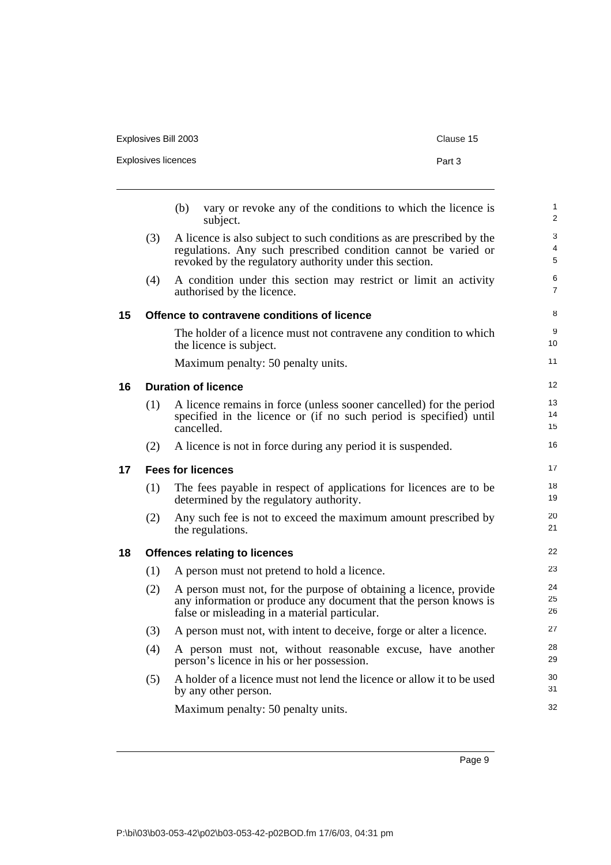| Explosives Bill 2003 | Clause 15 |
|----------------------|-----------|
| Explosives licences  | Part 3    |

<span id="page-16-3"></span><span id="page-16-2"></span><span id="page-16-1"></span><span id="page-16-0"></span>

|    |     | vary or revoke any of the conditions to which the licence is<br>(b)<br>subject.                                                                                                                    | $\mathbf{1}$<br>2   |
|----|-----|----------------------------------------------------------------------------------------------------------------------------------------------------------------------------------------------------|---------------------|
|    | (3) | A licence is also subject to such conditions as are prescribed by the<br>regulations. Any such prescribed condition cannot be varied or<br>revoked by the regulatory authority under this section. | 3<br>4<br>5         |
|    | (4) | A condition under this section may restrict or limit an activity<br>authorised by the licence.                                                                                                     | 6<br>$\overline{7}$ |
| 15 |     | Offence to contravene conditions of licence                                                                                                                                                        | 8                   |
|    |     | The holder of a licence must not contravene any condition to which<br>the licence is subject.                                                                                                      | 9<br>10             |
|    |     | Maximum penalty: 50 penalty units.                                                                                                                                                                 | 11                  |
| 16 |     | <b>Duration of licence</b>                                                                                                                                                                         | 12                  |
|    | (1) | A licence remains in force (unless sooner cancelled) for the period<br>specified in the licence or (if no such period is specified) until<br>cancelled.                                            | 13<br>14<br>15      |
|    | (2) | A licence is not in force during any period it is suspended.                                                                                                                                       | 16                  |
| 17 |     | <b>Fees for licences</b>                                                                                                                                                                           | 17                  |
|    | (1) | The fees payable in respect of applications for licences are to be<br>determined by the regulatory authority.                                                                                      | 18<br>19            |
|    | (2) | Any such fee is not to exceed the maximum amount prescribed by<br>the regulations.                                                                                                                 | 20<br>21            |
| 18 |     | <b>Offences relating to licences</b>                                                                                                                                                               | 22                  |
|    | (1) | A person must not pretend to hold a licence.                                                                                                                                                       | 23                  |
|    | (2) | A person must not, for the purpose of obtaining a licence, provide<br>any information or produce any document that the person knows is<br>false or misleading in a material particular.            | 24<br>25<br>26      |
|    | (3) | A person must not, with intent to deceive, forge or alter a licence.                                                                                                                               | 27                  |
|    | (4) | A person must not, without reasonable excuse, have another<br>person's licence in his or her possession.                                                                                           | 28<br>29            |
|    | (5) | A holder of a licence must not lend the licence or allow it to be used<br>by any other person.                                                                                                     | 30<br>31            |
|    |     | Maximum penalty: 50 penalty units.                                                                                                                                                                 | 32                  |
|    |     |                                                                                                                                                                                                    |                     |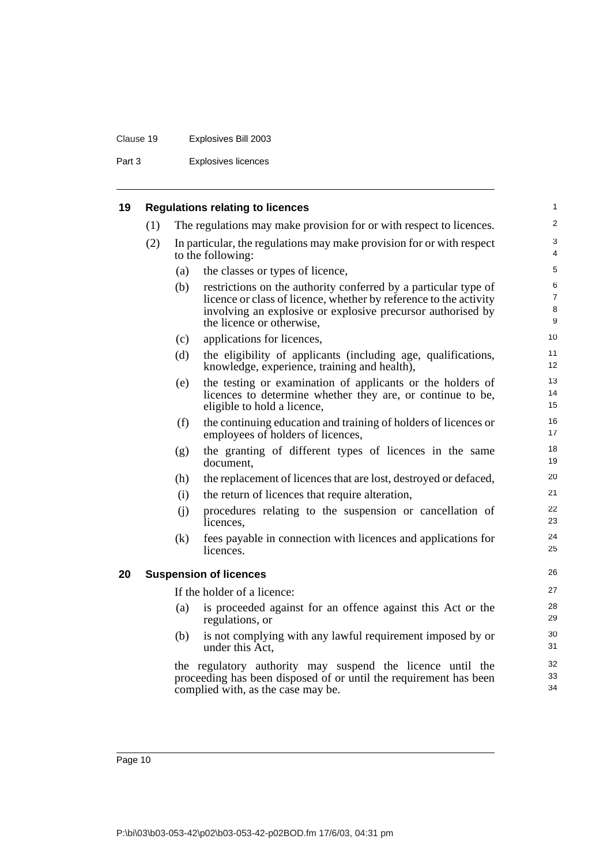## Clause 19 Explosives Bill 2003

Part 3 Explosives licences

<span id="page-17-1"></span><span id="page-17-0"></span>

| 19 |     |     | <b>Regulations relating to licences</b>                                                                                                                                                                                          | $\mathbf{1}$                  |
|----|-----|-----|----------------------------------------------------------------------------------------------------------------------------------------------------------------------------------------------------------------------------------|-------------------------------|
|    | (1) |     | The regulations may make provision for or with respect to licences.                                                                                                                                                              | 2                             |
|    | (2) |     | In particular, the regulations may make provision for or with respect<br>to the following:                                                                                                                                       | 3<br>$\overline{4}$           |
|    |     | (a) | the classes or types of licence,                                                                                                                                                                                                 | 5                             |
|    |     | (b) | restrictions on the authority conferred by a particular type of<br>licence or class of licence, whether by reference to the activity<br>involving an explosive or explosive precursor authorised by<br>the licence or otherwise, | 6<br>$\overline{7}$<br>8<br>9 |
|    |     | (c) | applications for licences,                                                                                                                                                                                                       | 10                            |
|    |     | (d) | the eligibility of applicants (including age, qualifications,<br>knowledge, experience, training and health),                                                                                                                    | 11<br>12                      |
|    |     | (e) | the testing or examination of applicants or the holders of<br>licences to determine whether they are, or continue to be,<br>eligible to hold a licence,                                                                          | 13<br>14<br>15                |
|    |     | (f) | the continuing education and training of holders of licences or<br>employees of holders of licences,                                                                                                                             | 16<br>17                      |
|    |     | (g) | the granting of different types of licences in the same<br>document,                                                                                                                                                             | 18<br>19                      |
|    |     | (h) | the replacement of licences that are lost, destroyed or defaced,                                                                                                                                                                 | 20                            |
|    |     | (i) | the return of licences that require alteration,                                                                                                                                                                                  | 21                            |
|    |     | (j) | procedures relating to the suspension or cancellation of<br>licences.                                                                                                                                                            | 22<br>23                      |
|    |     | (k) | fees payable in connection with licences and applications for<br>licences.                                                                                                                                                       | 24<br>25                      |
| 20 |     |     | <b>Suspension of licences</b>                                                                                                                                                                                                    | 26                            |
|    |     |     | If the holder of a licence:                                                                                                                                                                                                      | 27                            |
|    |     | (a) | is proceeded against for an offence against this Act or the<br>regulations, or                                                                                                                                                   | 28<br>29                      |
|    |     | (b) | is not complying with any lawful requirement imposed by or<br>under this Act,                                                                                                                                                    | 30<br>31                      |
|    |     |     | the regulatory authority may suspend the licence until the<br>proceeding has been disposed of or until the requirement has been<br>complied with, as the case may be.                                                            | 32<br>33<br>34                |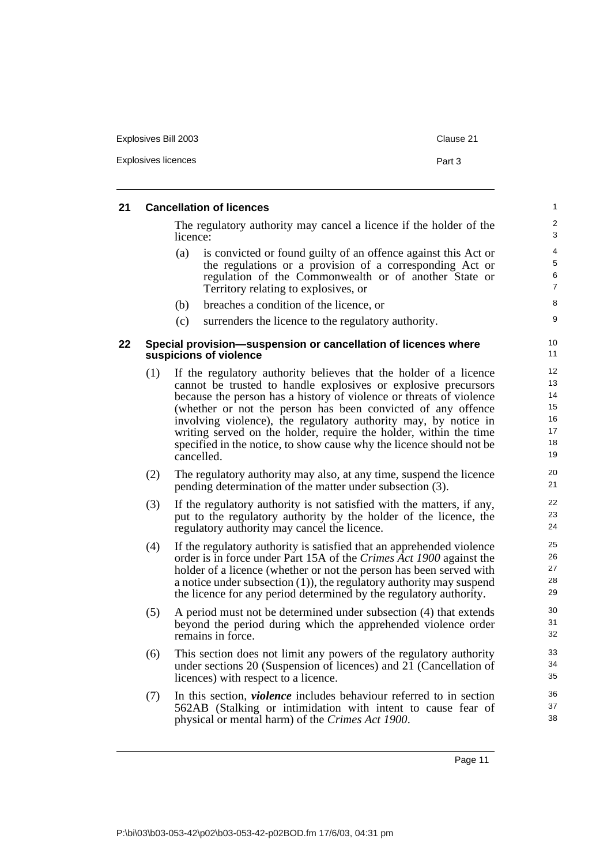| Explosives Bill 2003 | Clause 21 |
|----------------------|-----------|
| Explosives licences  | Part 3    |
|                      |           |

### <span id="page-18-0"></span>**21 Cancellation of licences**

The regulatory authority may cancel a licence if the holder of the licence:

- (a) is convicted or found guilty of an offence against this Act or the regulations or a provision of a corresponding Act or regulation of the Commonwealth or of another State or Territory relating to explosives, or
- (b) breaches a condition of the licence, or
- (c) surrenders the licence to the regulatory authority.

#### <span id="page-18-1"></span>**22 Special provision—suspension or cancellation of licences where suspicions of violence**

- (1) If the regulatory authority believes that the holder of a licence cannot be trusted to handle explosives or explosive precursors because the person has a history of violence or threats of violence (whether or not the person has been convicted of any offence involving violence), the regulatory authority may, by notice in writing served on the holder, require the holder, within the time specified in the notice, to show cause why the licence should not be cancelled.
- (2) The regulatory authority may also, at any time, suspend the licence pending determination of the matter under subsection (3).
- (3) If the regulatory authority is not satisfied with the matters, if any, put to the regulatory authority by the holder of the licence, the regulatory authority may cancel the licence.
- (4) If the regulatory authority is satisfied that an apprehended violence order is in force under Part 15A of the *Crimes Act 1900* against the holder of a licence (whether or not the person has been served with a notice under subsection (1)), the regulatory authority may suspend the licence for any period determined by the regulatory authority.
- (5) A period must not be determined under subsection (4) that extends beyond the period during which the apprehended violence order remains in force.
- (6) This section does not limit any powers of the regulatory authority under sections 20 (Suspension of licences) and 21 (Cancellation of licences) with respect to a licence.
- (7) In this section, *violence* includes behaviour referred to in section 562AB (Stalking or intimidation with intent to cause fear of physical or mental harm) of the *Crimes Act 1900*.

Page 11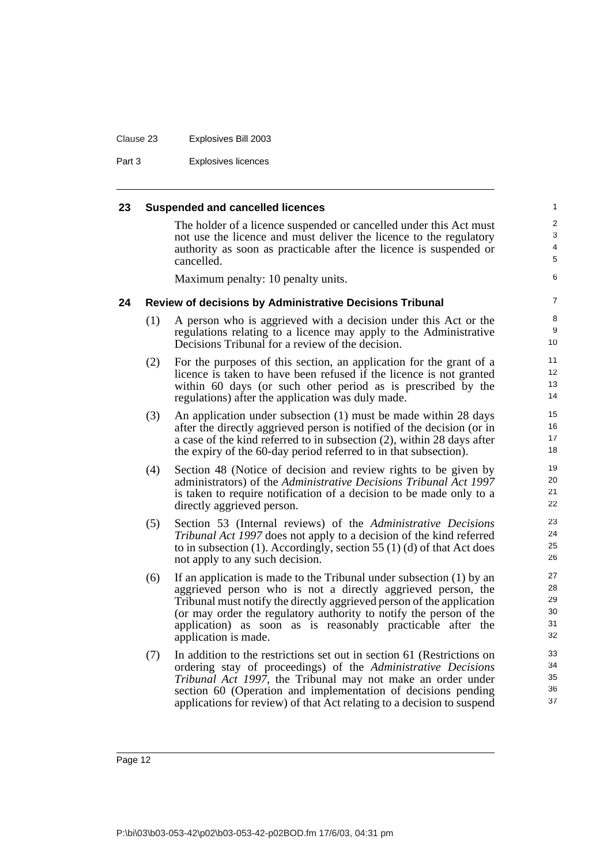#### Clause 23 Explosives Bill 2003

Part 3 Explosives licences

#### <span id="page-19-0"></span>**23 Suspended and cancelled licences**

The holder of a licence suspended or cancelled under this Act must not use the licence and must deliver the licence to the regulatory authority as soon as practicable after the licence is suspended or cancelled.

Maximum penalty: 10 penalty units.

#### <span id="page-19-1"></span>**24 Review of decisions by Administrative Decisions Tribunal**

- (1) A person who is aggrieved with a decision under this Act or the regulations relating to a licence may apply to the Administrative Decisions Tribunal for a review of the decision.
- (2) For the purposes of this section, an application for the grant of a licence is taken to have been refused if the licence is not granted within 60 days (or such other period as is prescribed by the regulations) after the application was duly made.
- (3) An application under subsection (1) must be made within 28 days after the directly aggrieved person is notified of the decision (or in a case of the kind referred to in subsection (2), within 28 days after the expiry of the 60-day period referred to in that subsection).
- (4) Section 48 (Notice of decision and review rights to be given by administrators) of the *Administrative Decisions Tribunal Act 1997* is taken to require notification of a decision to be made only to a directly aggrieved person.
- (5) Section 53 (Internal reviews) of the *Administrative Decisions Tribunal Act 1997* does not apply to a decision of the kind referred to in subsection (1). Accordingly, section 55 (1) (d) of that Act does not apply to any such decision.
- (6) If an application is made to the Tribunal under subsection (1) by an aggrieved person who is not a directly aggrieved person, the Tribunal must notify the directly aggrieved person of the application (or may order the regulatory authority to notify the person of the application) as soon as is reasonably practicable after the application is made.
- (7) In addition to the restrictions set out in section 61 (Restrictions on ordering stay of proceedings) of the *Administrative Decisions Tribunal Act 1997*, the Tribunal may not make an order under section 60 (Operation and implementation of decisions pending applications for review) of that Act relating to a decision to suspend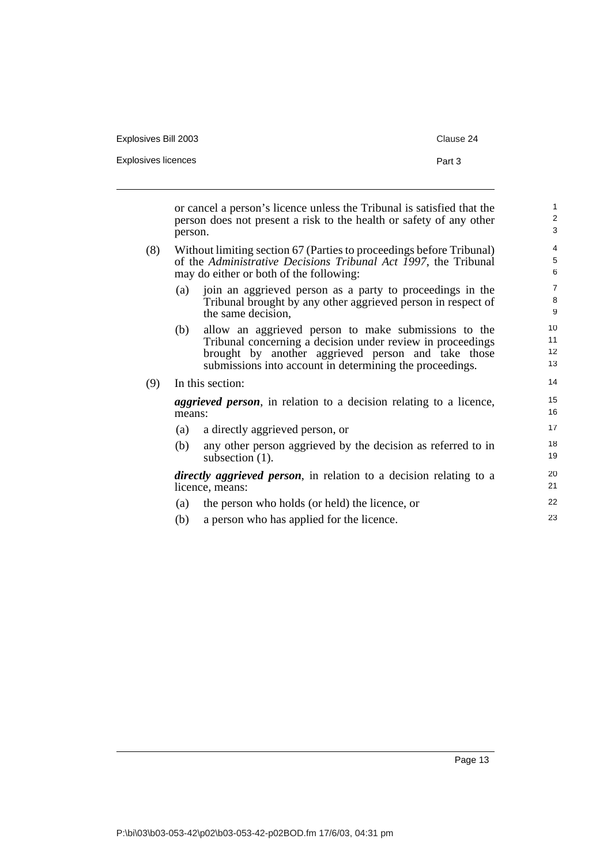| Explosives Bill 2003 | Clause 24 |
|----------------------|-----------|
| Explosives licences  | Part 3    |
|                      |           |

or cancel a person's licence unless the Tribunal is satisfied that the person does not present a risk to the health or safety of any other person.

- (8) Without limiting section 67 (Parties to proceedings before Tribunal) of the *Administrative Decisions Tribunal Act 1997*, the Tribunal may do either or both of the following:
	- (a) join an aggrieved person as a party to proceedings in the Tribunal brought by any other aggrieved person in respect of the same decision,
	- (b) allow an aggrieved person to make submissions to the Tribunal concerning a decision under review in proceedings brought by another aggrieved person and take those submissions into account in determining the proceedings.

## (9) In this section: *aggrieved person*, in relation to a decision relating to a licence, means:

- (a) a directly aggrieved person, or (b) any other person aggrieved by the decision as referred to in subsection  $(1)$ . *directly aggrieved person*, in relation to a decision relating to a 17 18 19 20
- licence, means: (a) the person who holds (or held) the licence, or (b) a person who has applied for the licence. 21 22 23

Page 13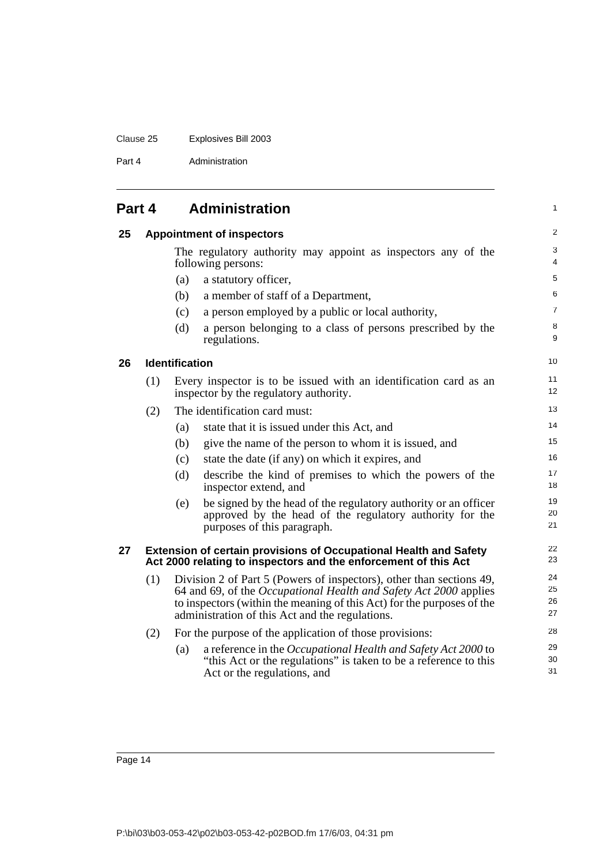#### Clause 25 Explosives Bill 2003

Part 4 Administration

<span id="page-21-2"></span><span id="page-21-1"></span><span id="page-21-0"></span>

| Part 4 |     | <b>Administration</b> |                                                                                                                                                                                                                                                                        | 1                    |
|--------|-----|-----------------------|------------------------------------------------------------------------------------------------------------------------------------------------------------------------------------------------------------------------------------------------------------------------|----------------------|
| 25     |     |                       | <b>Appointment of inspectors</b>                                                                                                                                                                                                                                       | 2                    |
|        |     |                       | The regulatory authority may appoint as inspectors any of the<br>following persons:                                                                                                                                                                                    | 3<br>4               |
|        |     | (a)                   | a statutory officer,                                                                                                                                                                                                                                                   | $\sqrt{5}$           |
|        |     | (b)                   | a member of staff of a Department,                                                                                                                                                                                                                                     | 6                    |
|        |     | (c)                   | a person employed by a public or local authority,                                                                                                                                                                                                                      | $\overline{7}$       |
|        |     | (d)                   | a person belonging to a class of persons prescribed by the<br>regulations.                                                                                                                                                                                             | 8<br>9               |
| 26     |     | <b>Identification</b> |                                                                                                                                                                                                                                                                        | 10                   |
|        | (1) |                       | Every inspector is to be issued with an identification card as an<br>inspector by the regulatory authority.                                                                                                                                                            | 11<br>12             |
|        | (2) |                       | The identification card must:                                                                                                                                                                                                                                          | 13                   |
|        |     | (a)                   | state that it is issued under this Act, and                                                                                                                                                                                                                            | 14                   |
|        |     | (b)                   | give the name of the person to whom it is issued, and                                                                                                                                                                                                                  | 15                   |
|        |     | (c)                   | state the date (if any) on which it expires, and                                                                                                                                                                                                                       | 16                   |
|        |     | (d)                   | describe the kind of premises to which the powers of the<br>inspector extend, and                                                                                                                                                                                      | 17<br>18             |
|        |     | (e)                   | be signed by the head of the regulatory authority or an officer<br>approved by the head of the regulatory authority for the<br>purposes of this paragraph.                                                                                                             | 19<br>20<br>21       |
| 27     |     |                       | <b>Extension of certain provisions of Occupational Health and Safety</b><br>Act 2000 relating to inspectors and the enforcement of this Act                                                                                                                            | 22<br>23             |
|        | (1) |                       | Division 2 of Part 5 (Powers of inspectors), other than sections 49,<br>64 and 69, of the Occupational Health and Safety Act 2000 applies<br>to inspectors (within the meaning of this Act) for the purposes of the<br>administration of this Act and the regulations. | 24<br>25<br>26<br>27 |
|        | (2) |                       | For the purpose of the application of those provisions:                                                                                                                                                                                                                | 28                   |
|        |     | (a)                   | a reference in the Occupational Health and Safety Act 2000 to<br>"this Act or the regulations" is taken to be a reference to this                                                                                                                                      | 29<br>30             |

31

<span id="page-21-3"></span>Act or the regulations, and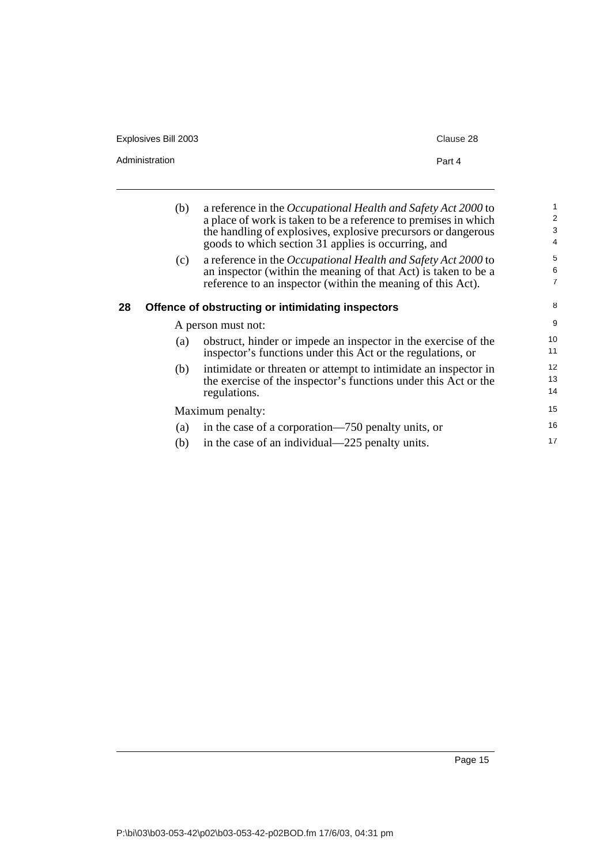| Explosives Bill 2003 | Clause 28                                                                                                                                                                                                                                                |
|----------------------|----------------------------------------------------------------------------------------------------------------------------------------------------------------------------------------------------------------------------------------------------------|
| Administration       | Part 4                                                                                                                                                                                                                                                   |
| (b)                  | a reference in the Occupational Health and Safety Act 2000 to<br>a place of work is taken to be a reference to premises in which<br>the handling of explosives, explosive precursors or dangerous<br>goods to which section 31 applies is occurring, and |

(c) a reference in the *Occupational Health and Safety Act 2000* to an inspector (within the meaning of that Act) is taken to be a reference to an inspector (within the meaning of this Act).

## <span id="page-22-0"></span>**28 Offence of obstructing or intimidating inspectors**

|                  | A person must not:                                                                                                                                 | 9              |
|------------------|----------------------------------------------------------------------------------------------------------------------------------------------------|----------------|
| (a)              | obstruct, hinder or impede an inspector in the exercise of the<br>inspector's functions under this Act or the regulations, or                      | 10<br>11       |
| (b)              | intimidate or threaten or attempt to intimidate an inspector in<br>the exercise of the inspector's functions under this Act or the<br>regulations. | 12<br>13<br>14 |
| Maximum penalty: |                                                                                                                                                    | 15             |
| (a)              | in the case of a corporation—750 penalty units, or                                                                                                 | 16             |
| (b)              | in the case of an individual—225 penalty units.                                                                                                    | 17             |

8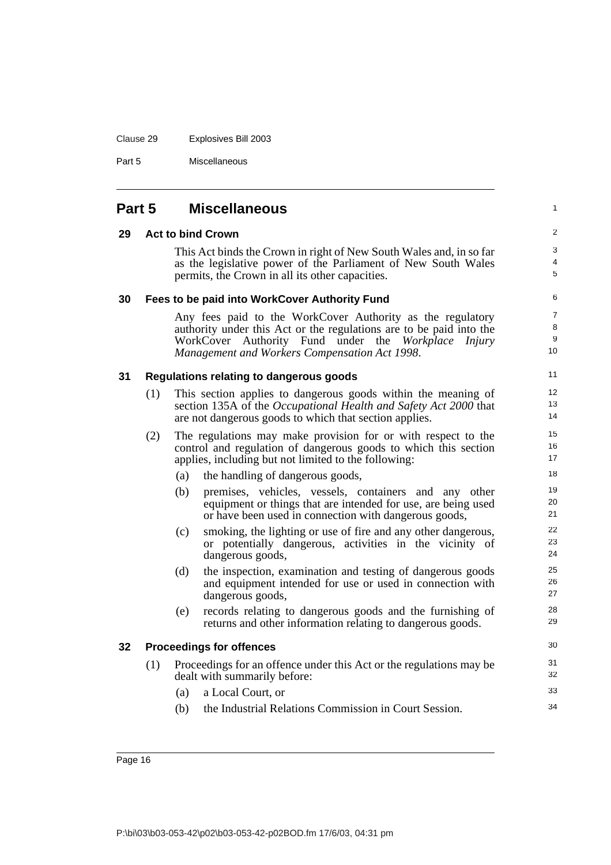## Clause 29 Explosives Bill 2003

Part 5 Miscellaneous

<span id="page-23-4"></span><span id="page-23-3"></span><span id="page-23-2"></span><span id="page-23-1"></span><span id="page-23-0"></span>

| Part 5 |     | <b>Miscellaneous</b>                                                                                                                                                                                                                      |  |
|--------|-----|-------------------------------------------------------------------------------------------------------------------------------------------------------------------------------------------------------------------------------------------|--|
| 29     |     | <b>Act to bind Crown</b>                                                                                                                                                                                                                  |  |
|        |     | This Act binds the Crown in right of New South Wales and, in so far<br>as the legislative power of the Parliament of New South Wales<br>permits, the Crown in all its other capacities.                                                   |  |
| 30     |     | Fees to be paid into WorkCover Authority Fund                                                                                                                                                                                             |  |
|        |     | Any fees paid to the WorkCover Authority as the regulatory<br>authority under this Act or the regulations are to be paid into the<br>WorkCover Authority Fund under the Workplace Injury<br>Management and Workers Compensation Act 1998. |  |
| 31     |     | <b>Regulations relating to dangerous goods</b>                                                                                                                                                                                            |  |
|        | (1) | This section applies to dangerous goods within the meaning of<br>section 135A of the Occupational Health and Safety Act 2000 that<br>are not dangerous goods to which that section applies.                                               |  |
|        | (2) | The regulations may make provision for or with respect to the<br>control and regulation of dangerous goods to which this section<br>applies, including but not limited to the following:                                                  |  |
|        |     | the handling of dangerous goods,<br>(a)                                                                                                                                                                                                   |  |
|        |     | premises, vehicles, vessels, containers and any other<br>(b)<br>equipment or things that are intended for use, are being used<br>or have been used in connection with dangerous goods,                                                    |  |
|        |     | smoking, the lighting or use of fire and any other dangerous,<br>(c)<br>or potentially dangerous, activities in the vicinity of<br>dangerous goods,                                                                                       |  |
|        |     | (d)<br>the inspection, examination and testing of dangerous goods<br>and equipment intended for use or used in connection with<br>dangerous goods,                                                                                        |  |
|        |     | (e)<br>records relating to dangerous goods and the furnishing of<br>returns and other information relating to dangerous goods.                                                                                                            |  |
| 32     |     | <b>Proceedings for offences</b>                                                                                                                                                                                                           |  |
|        | (1) | Proceedings for an offence under this Act or the regulations may be<br>dealt with summarily before:                                                                                                                                       |  |
|        |     | a Local Court, or<br>(a)                                                                                                                                                                                                                  |  |
|        |     | the Industrial Relations Commission in Court Session.<br>(b)                                                                                                                                                                              |  |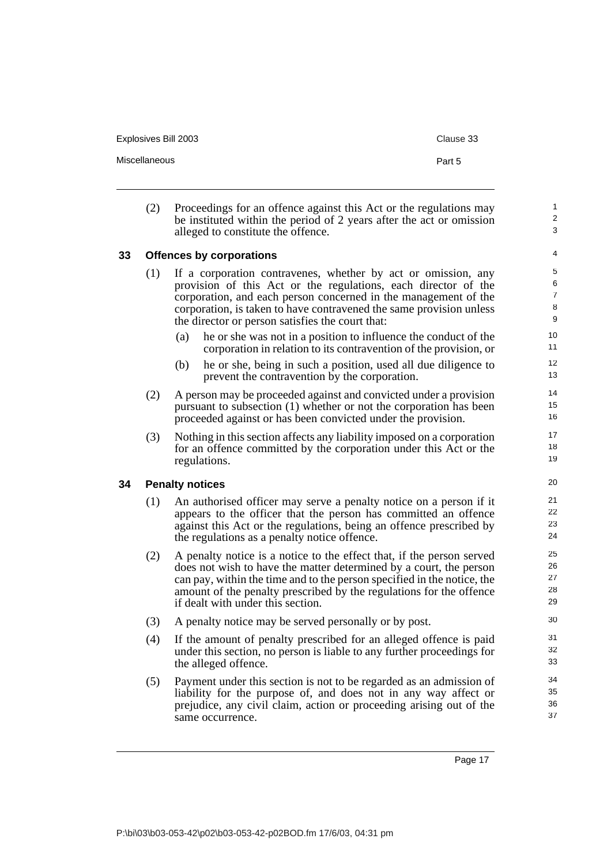Explosives Bill 2003 Clause 33

Miscellaneous **Part 5** 

1  $\overline{2}$ 3

- 
- (2) Proceedings for an offence against this Act or the regulations may be instituted within the period of 2 years after the act or omission alleged to constitute the offence.

#### <span id="page-24-0"></span>**33 Offences by corporations**

- (1) If a corporation contravenes, whether by act or omission, any provision of this Act or the regulations, each director of the corporation, and each person concerned in the management of the corporation, is taken to have contravened the same provision unless the director or person satisfies the court that:
	- (a) he or she was not in a position to influence the conduct of the corporation in relation to its contravention of the provision, or
	- (b) he or she, being in such a position, used all due diligence to prevent the contravention by the corporation.
- (2) A person may be proceeded against and convicted under a provision pursuant to subsection (1) whether or not the corporation has been proceeded against or has been convicted under the provision.
- (3) Nothing in this section affects any liability imposed on a corporation for an offence committed by the corporation under this Act or the regulations.

#### <span id="page-24-1"></span>**34 Penalty notices**

- (1) An authorised officer may serve a penalty notice on a person if it appears to the officer that the person has committed an offence against this Act or the regulations, being an offence prescribed by the regulations as a penalty notice offence.
- (2) A penalty notice is a notice to the effect that, if the person served does not wish to have the matter determined by a court, the person can pay, within the time and to the person specified in the notice, the amount of the penalty prescribed by the regulations for the offence if dealt with under this section.
- (3) A penalty notice may be served personally or by post.
- (4) If the amount of penalty prescribed for an alleged offence is paid under this section, no person is liable to any further proceedings for the alleged offence.
- (5) Payment under this section is not to be regarded as an admission of liability for the purpose of, and does not in any way affect or prejudice, any civil claim, action or proceeding arising out of the same occurrence.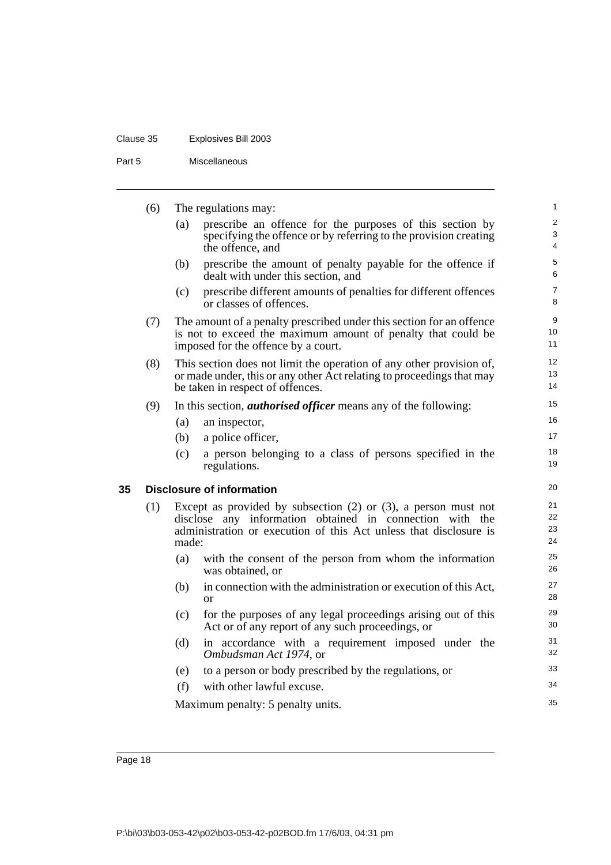## Clause 35 Explosives Bill 2003

Part 5 Miscellaneous

<span id="page-25-0"></span>

|    | (6) |       | The regulations may:                                                                                                                                                                                 | 1                    |
|----|-----|-------|------------------------------------------------------------------------------------------------------------------------------------------------------------------------------------------------------|----------------------|
|    |     | (a)   | prescribe an offence for the purposes of this section by<br>specifying the offence or by referring to the provision creating<br>the offence, and                                                     | $\sqrt{2}$<br>3<br>4 |
|    |     | (b)   | prescribe the amount of penalty payable for the offence if<br>dealt with under this section, and                                                                                                     | 5<br>6               |
|    |     | (c)   | prescribe different amounts of penalties for different offences<br>or classes of offences.                                                                                                           | $\overline{7}$<br>8  |
|    | (7) |       | The amount of a penalty prescribed under this section for an offence<br>is not to exceed the maximum amount of penalty that could be<br>imposed for the offence by a court.                          | 9<br>10<br>11        |
|    | (8) |       | This section does not limit the operation of any other provision of,<br>or made under, this or any other Act relating to proceedings that may<br>be taken in respect of offences.                    | 12<br>13<br>14       |
|    | (9) |       | In this section, <i>authorised officer</i> means any of the following:                                                                                                                               | 15                   |
|    |     | (a)   | an inspector,                                                                                                                                                                                        | 16                   |
|    |     | (b)   | a police officer,                                                                                                                                                                                    | 17                   |
|    |     | (c)   | a person belonging to a class of persons specified in the<br>regulations.                                                                                                                            | 18<br>19             |
| 35 |     |       | <b>Disclosure of information</b>                                                                                                                                                                     | 20                   |
|    | (1) | made: | Except as provided by subsection $(2)$ or $(3)$ , a person must not<br>disclose any information obtained in connection with the<br>administration or execution of this Act unless that disclosure is | 21<br>22<br>23<br>24 |
|    |     | (a)   | with the consent of the person from whom the information<br>was obtained, or                                                                                                                         | 25<br>26             |
|    |     | (b)   | in connection with the administration or execution of this Act,<br><b>or</b>                                                                                                                         | 27<br>28             |
|    |     | (c)   | for the purposes of any legal proceedings arising out of this<br>Act or of any report of any such proceedings, or                                                                                    | 29<br>30             |
|    |     | (d)   | in accordance with a requirement imposed under the<br>Ombudsman Act 1974, or                                                                                                                         | 31<br>32             |
|    |     | (e)   | to a person or body prescribed by the regulations, or                                                                                                                                                | 33                   |
|    |     | (f)   | with other lawful excuse.                                                                                                                                                                            | 34                   |
|    |     |       | Maximum penalty: 5 penalty units.                                                                                                                                                                    | 35                   |
|    |     |       |                                                                                                                                                                                                      |                      |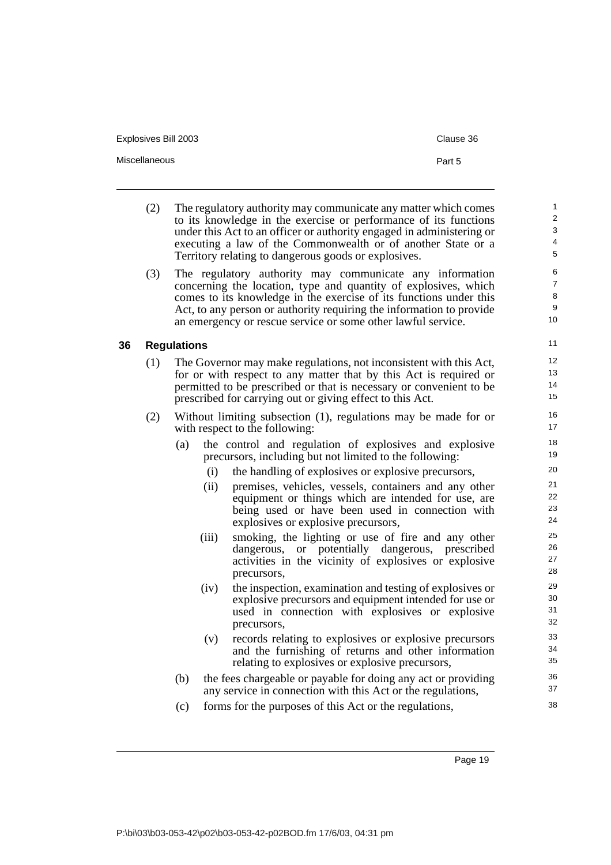Explosives Bill 2003 Clause 36

Miscellaneous **Part 5** 

<span id="page-26-0"></span>(2) The regulatory authority may communicate any matter which comes to its knowledge in the exercise or performance of its functions under this Act to an officer or authority engaged in administering or executing a law of the Commonwealth or of another State or a Territory relating to dangerous goods or explosives. (3) The regulatory authority may communicate any information concerning the location, type and quantity of explosives, which comes to its knowledge in the exercise of its functions under this Act, to any person or authority requiring the information to provide an emergency or rescue service or some other lawful service. **36 Regulations** (1) The Governor may make regulations, not inconsistent with this Act, for or with respect to any matter that by this Act is required or permitted to be prescribed or that is necessary or convenient to be prescribed for carrying out or giving effect to this Act. (2) Without limiting subsection (1), regulations may be made for or with respect to the following: (a) the control and regulation of explosives and explosive precursors, including but not limited to the following: (i) the handling of explosives or explosive precursors, (ii) premises, vehicles, vessels, containers and any other equipment or things which are intended for use, are being used or have been used in connection with explosives or explosive precursors, (iii) smoking, the lighting or use of fire and any other dangerous, or potentially dangerous, prescribed activities in the vicinity of explosives or explosive precursors, (iv) the inspection, examination and testing of explosives or explosive precursors and equipment intended for use or used in connection with explosives or explosive precursors, (v) records relating to explosives or explosive precursors and the furnishing of returns and other information relating to explosives or explosive precursors, (b) the fees chargeable or payable for doing any act or providing any service in connection with this Act or the regulations, (c) forms for the purposes of this Act or the regulations, 1  $\overline{2}$ 3 4 5 6 7 8 9 10 11 12 13 14 15 16 17 18 19 20 21 22 23 24 25 26 27 28 29 30 31 32 33 34 35 36 37 38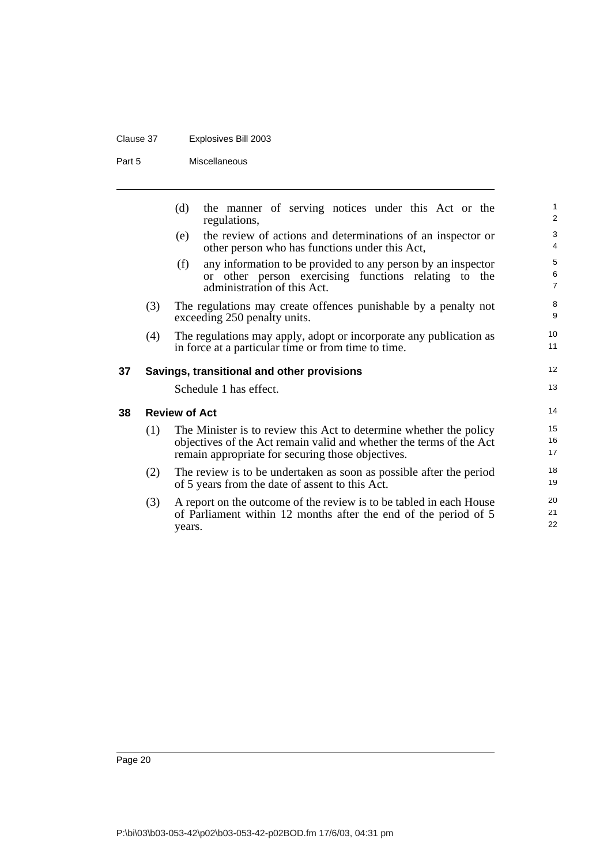## Clause 37 Explosives Bill 2003

Part 5 Miscellaneous

<span id="page-27-1"></span><span id="page-27-0"></span>

|    |     | the manner of serving notices under this Act or the<br>(d)<br>regulations,                                                                                                                     | 1<br>$\overline{\mathbf{c}}$ |
|----|-----|------------------------------------------------------------------------------------------------------------------------------------------------------------------------------------------------|------------------------------|
|    |     | the review of actions and determinations of an inspector or<br>(e)<br>other person who has functions under this Act,                                                                           | 3<br>4                       |
|    |     | any information to be provided to any person by an inspector<br>(f)<br>or other person exercising functions relating to the<br>administration of this Act.                                     | 5<br>6<br>$\overline{7}$     |
|    | (3) | The regulations may create offences punishable by a penalty not<br>exceeding 250 penalty units.                                                                                                | 8<br>9                       |
|    | (4) | The regulations may apply, adopt or incorporate any publication as<br>in force at a particular time or from time to time.                                                                      | 10<br>11                     |
| 37 |     | Savings, transitional and other provisions                                                                                                                                                     | 12                           |
|    |     | Schedule 1 has effect.                                                                                                                                                                         | 13                           |
| 38 |     | <b>Review of Act</b>                                                                                                                                                                           | 14                           |
|    | (1) | The Minister is to review this Act to determine whether the policy<br>objectives of the Act remain valid and whether the terms of the Act<br>remain appropriate for securing those objectives. | 15<br>16<br>17               |
|    | (2) | The review is to be undertaken as soon as possible after the period<br>of 5 years from the date of assent to this Act.                                                                         | 18<br>19                     |
|    | (3) | A report on the outcome of the review is to be tabled in each House<br>of Parliament within 12 months after the end of the period of 5<br>years.                                               | 20<br>21<br>22               |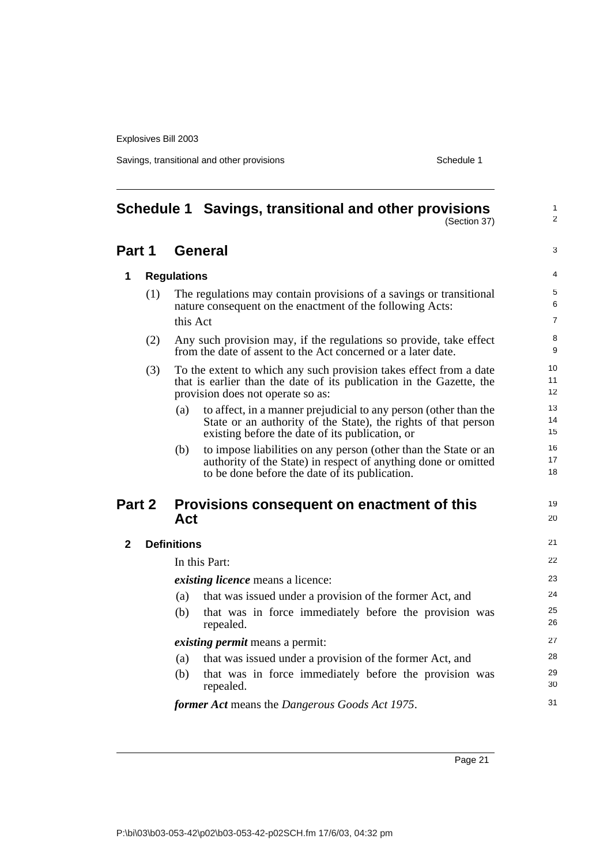Savings, transitional and other provisions Schedule 1

<span id="page-28-0"></span>

|              | Schedule 1 Savings, transitional and other provisions<br>(Section 37)                                                                                                                        | $\mathbf{1}$<br>2        |
|--------------|----------------------------------------------------------------------------------------------------------------------------------------------------------------------------------------------|--------------------------|
| Part 1       | <b>General</b>                                                                                                                                                                               | 3                        |
| 1            | <b>Regulations</b>                                                                                                                                                                           | $\overline{4}$           |
| (1)          | The regulations may contain provisions of a savings or transitional<br>nature consequent on the enactment of the following Acts:<br>this Act                                                 | 5<br>6<br>$\overline{7}$ |
| (2)          | Any such provision may, if the regulations so provide, take effect<br>from the date of assent to the Act concerned or a later date.                                                          | 8<br>9                   |
| (3)          | To the extent to which any such provision takes effect from a date<br>that is earlier than the date of its publication in the Gazette, the<br>provision does not operate so as:              | 10<br>11<br>12           |
|              | to affect, in a manner prejudicial to any person (other than the<br>(a)<br>State or an authority of the State), the rights of that person<br>existing before the date of its publication, or | 13<br>14<br>15           |
|              | to impose liabilities on any person (other than the State or an<br>(b)<br>authority of the State) in respect of anything done or omitted<br>to be done before the date of its publication.   | 16<br>17<br>18           |
| Part 2       | Provisions consequent on enactment of this<br>Act                                                                                                                                            | 19<br>20                 |
| $\mathbf{2}$ | <b>Definitions</b>                                                                                                                                                                           | 21                       |
|              | In this Part:                                                                                                                                                                                | 22                       |
|              | existing licence means a licence:                                                                                                                                                            | 23                       |
|              | (a)<br>that was issued under a provision of the former Act, and                                                                                                                              | 24                       |
|              | that was in force immediately before the provision was<br>(b)<br>repealed.                                                                                                                   | 25<br>26                 |
|              | <i>existing permit</i> means a permit:                                                                                                                                                       | 27                       |
|              | (a)<br>that was issued under a provision of the former Act, and                                                                                                                              | 28                       |
|              | that was in force immediately before the provision was<br>(b)<br>repealed.                                                                                                                   | 29<br>30                 |
|              | former Act means the Dangerous Goods Act 1975.                                                                                                                                               | 31                       |